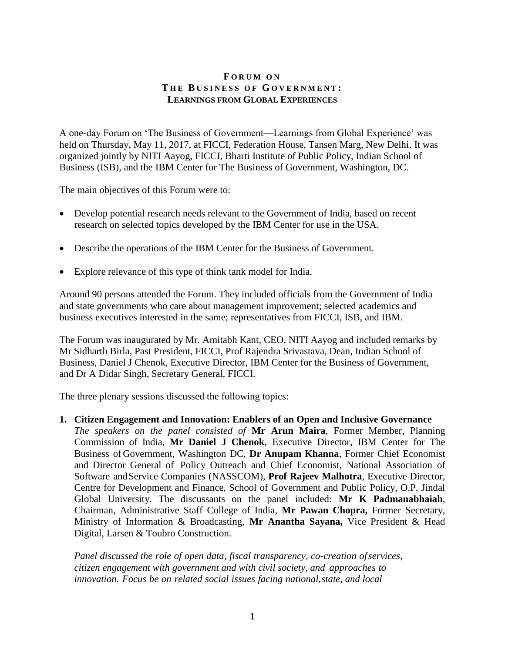## **F O R U M O N T H E B U S I N E S S O F G O V E R N M E N T : LEARNINGS FROM GLOBAL EXPERIENCES**

A one-day Forum on 'The Business of Government—Learnings from Global Experience' was held on Thursday, May 11, 2017, at FICCI, Federation House, Tansen Marg, New Delhi. It was organized jointly by NITI Aayog, FICCI, Bharti Institute of Public Policy, Indian School of Business (ISB), and the IBM Center for The Business of Government, Washington, DC.

The main objectives of this Forum were to:

- Develop potential research needs relevant to the Government of India, based on recent research on selected topics developed by the IBM Center for use in the USA.
- Describe the operations of the IBM Center for the Business of Government.
- Explore relevance of this type of think tank model for India.

Around 90 persons attended the Forum. They included officials from the Government of India and state governments who care about management improvement; selected academics and business executives interested in the same; representatives from FICCI, ISB, and IBM.

The Forum was inaugurated by Mr. Amitabh Kant, CEO, NITI Aayog and included remarks by Mr Sidharth Birla, Past President, FICCI, Prof Rajendra Srivastava, Dean, Indian School of Business, Daniel J Chenok, Executive Director, IBM Center for the Business of Government, and Dr A Didar Singh, Secretary General, FICCI.

The three plenary sessions discussed the following topics:

**1. Citizen Engagement and Innovation: Enablers of an Open and Inclusive Governance** *The speakers on the panel consisted of* **Mr Arun Maira**, Former Member, Planning Commission of India, **Mr Daniel J Chenok**, Executive Director, IBM Center for The Business of Government, Washington DC, **Dr Anupam Khanna**, Former Chief Economist and Director General of Policy Outreach and Chief Economist, National Association of Software andService Companies (NASSCOM), **Prof Rajeev Malhotra**, Executive Director, Centre for Development and Finance, School of Government and Public Policy, O.P. Jindal Global University. The discussants on the panel included: **Mr K Padmanabhaiah**, Chairman, Administrative Staff College of India, **Mr Pawan Chopra,** Former Secretary, Ministry of Information & Broadcasting, **Mr Anantha Sayana,** Vice President & Head Digital, Larsen & Toubro Construction.

*Panel discussed the role of open data, fiscal transparency, co-creation ofservices, citizen engagement with government and with civil society, and approaches to innovation. Focus be on related social issues facing national,state, and local*